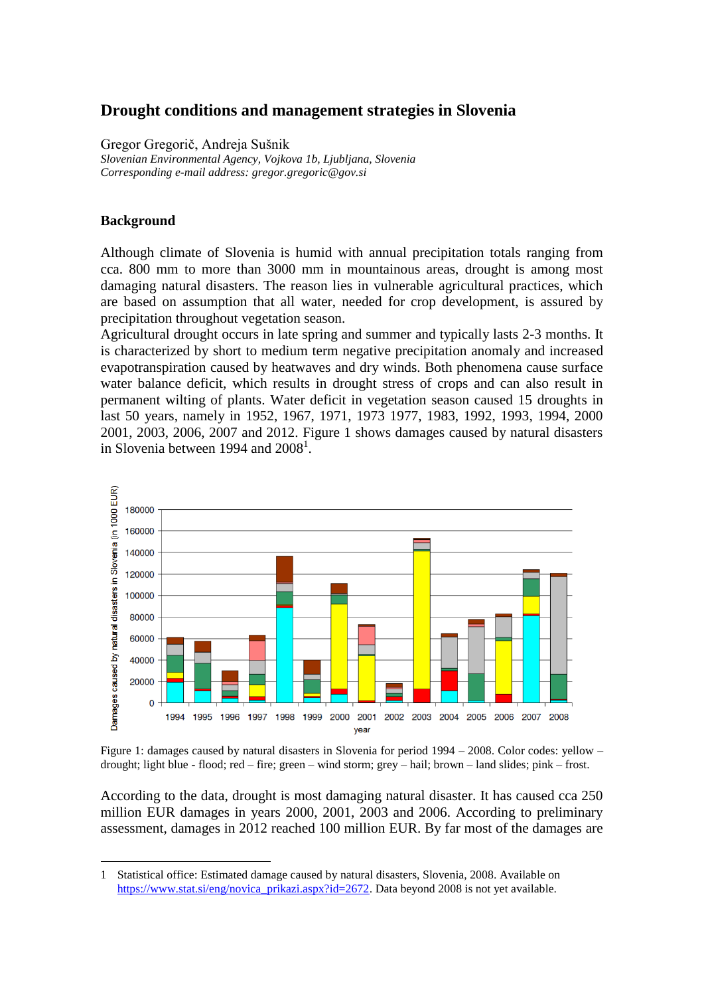# **Drought conditions and management strategies in Slovenia**

Gregor Gregorič, Andreja Sušnik *Slovenian Environmental Agency, Vojkova 1b, Ljubljana, Slovenia Corresponding e-mail address: gregor.gregoric@gov.si*

### **Background**

<u>.</u>

Although climate of Slovenia is humid with annual precipitation totals ranging from cca. 800 mm to more than 3000 mm in mountainous areas, drought is among most damaging natural disasters. The reason lies in vulnerable agricultural practices, which are based on assumption that all water, needed for crop development, is assured by precipitation throughout vegetation season.

Agricultural drought occurs in late spring and summer and typically lasts 2-3 months. It is characterized by short to medium term negative precipitation anomaly and increased evapotranspiration caused by heatwaves and dry winds. Both phenomena cause surface water balance deficit, which results in drought stress of crops and can also result in permanent wilting of plants. Water deficit in vegetation season caused 15 droughts in last 50 years, namely in 1952, 1967, 1971, 1973 1977, 1983, 1992, 1993, 1994, 2000 2001, 2003, 2006, 2007 and 2012. Figure 1 shows damages caused by natural disasters in Slovenia between 1994 and  $2008<sup>1</sup>$ .



Figure 1: damages caused by natural disasters in Slovenia for period 1994 – 2008. Color codes: yellow – drought; light blue - flood; red – fire; green – wind storm; grey – hail; brown – land slides; pink – frost.

According to the data, drought is most damaging natural disaster. It has caused cca 250 million EUR damages in years 2000, 2001, 2003 and 2006. According to preliminary assessment, damages in 2012 reached 100 million EUR. By far most of the damages are

<sup>1</sup> Statistical office: Estimated damage caused by natural disasters, Slovenia, 2008. Available on [https://www.stat.si/eng/novica\\_prikazi.aspx?id=2672.](https://www.stat.si/eng/novica_prikazi.aspx?id=2672) Data beyond 2008 is not yet available.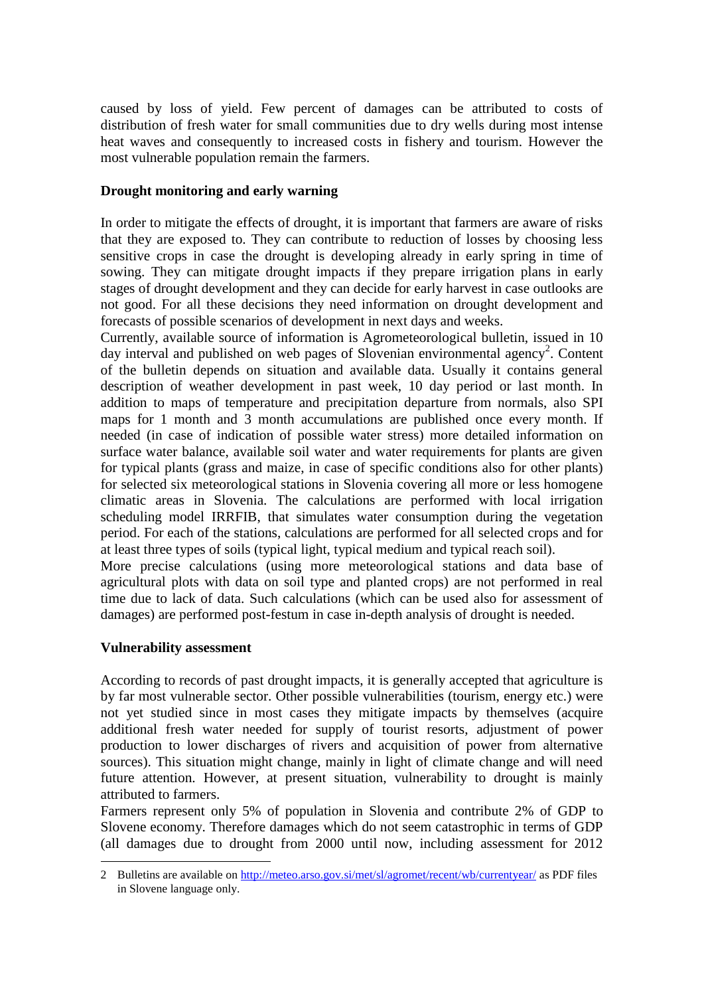caused by loss of yield. Few percent of damages can be attributed to costs of distribution of fresh water for small communities due to dry wells during most intense heat waves and consequently to increased costs in fishery and tourism. However the most vulnerable population remain the farmers.

### **Drought monitoring and early warning**

In order to mitigate the effects of drought, it is important that farmers are aware of risks that they are exposed to. They can contribute to reduction of losses by choosing less sensitive crops in case the drought is developing already in early spring in time of sowing. They can mitigate drought impacts if they prepare irrigation plans in early stages of drought development and they can decide for early harvest in case outlooks are not good. For all these decisions they need information on drought development and forecasts of possible scenarios of development in next days and weeks.

Currently, available source of information is Agrometeorological bulletin, issued in 10 day interval and published on web pages of Slovenian environmental agency<sup>2</sup>. Content of the bulletin depends on situation and available data. Usually it contains general description of weather development in past week, 10 day period or last month. In addition to maps of temperature and precipitation departure from normals, also SPI maps for 1 month and 3 month accumulations are published once every month. If needed (in case of indication of possible water stress) more detailed information on surface water balance, available soil water and water requirements for plants are given for typical plants (grass and maize, in case of specific conditions also for other plants) for selected six meteorological stations in Slovenia covering all more or less homogene climatic areas in Slovenia. The calculations are performed with local irrigation scheduling model IRRFIB, that simulates water consumption during the vegetation period. For each of the stations, calculations are performed for all selected crops and for at least three types of soils (typical light, typical medium and typical reach soil).

More precise calculations (using more meteorological stations and data base of agricultural plots with data on soil type and planted crops) are not performed in real time due to lack of data. Such calculations (which can be used also for assessment of damages) are performed post-festum in case in-depth analysis of drought is needed.

#### **Vulnerability assessment**

<u>.</u>

According to records of past drought impacts, it is generally accepted that agriculture is by far most vulnerable sector. Other possible vulnerabilities (tourism, energy etc.) were not yet studied since in most cases they mitigate impacts by themselves (acquire additional fresh water needed for supply of tourist resorts, adjustment of power production to lower discharges of rivers and acquisition of power from alternative sources). This situation might change, mainly in light of climate change and will need future attention. However, at present situation, vulnerability to drought is mainly attributed to farmers.

Farmers represent only 5% of population in Slovenia and contribute 2% of GDP to Slovene economy. Therefore damages which do not seem catastrophic in terms of GDP (all damages due to drought from 2000 until now, including assessment for 2012

<sup>2</sup> Bulletins are available o[n http://meteo.arso.gov.si/met/sl/agromet/recent/wb/currentyear/](http://meteo.arso.gov.si/met/sl/agromet/recent/wb/currentyear/) as PDF files in Slovene language only.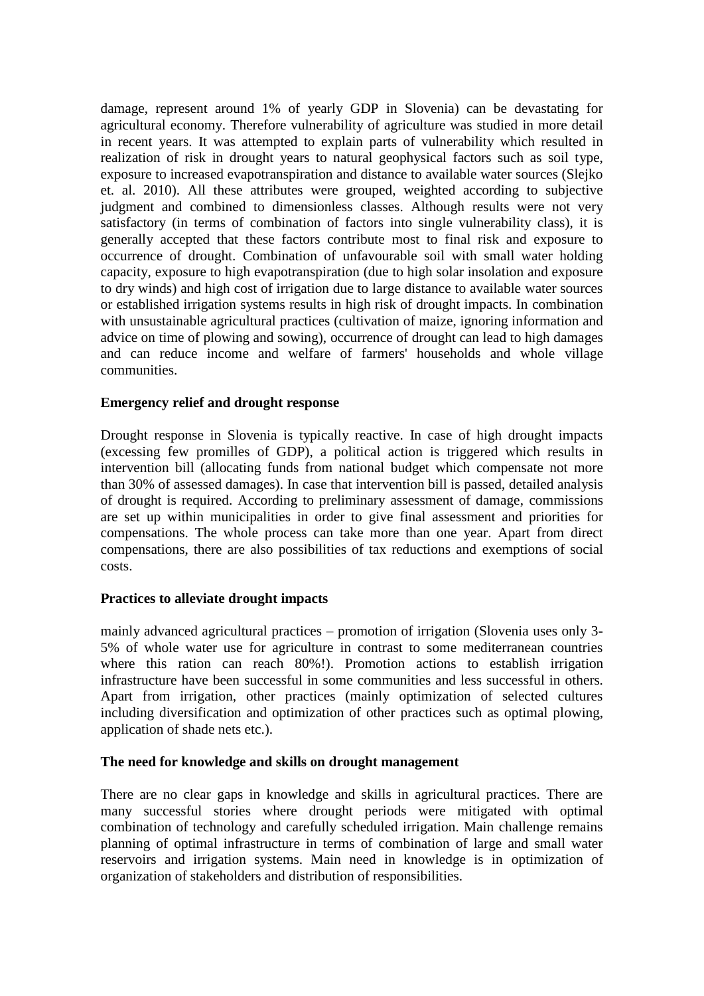damage, represent around 1% of yearly GDP in Slovenia) can be devastating for agricultural economy. Therefore vulnerability of agriculture was studied in more detail in recent years. It was attempted to explain parts of vulnerability which resulted in realization of risk in drought years to natural geophysical factors such as soil type, exposure to increased evapotranspiration and distance to available water sources (Slejko et. al. 2010). All these attributes were grouped, weighted according to subjective judgment and combined to dimensionless classes. Although results were not very satisfactory (in terms of combination of factors into single vulnerability class), it is generally accepted that these factors contribute most to final risk and exposure to occurrence of drought. Combination of unfavourable soil with small water holding capacity, exposure to high evapotranspiration (due to high solar insolation and exposure to dry winds) and high cost of irrigation due to large distance to available water sources or established irrigation systems results in high risk of drought impacts. In combination with unsustainable agricultural practices (cultivation of maize, ignoring information and advice on time of plowing and sowing), occurrence of drought can lead to high damages and can reduce income and welfare of farmers' households and whole village communities.

#### **Emergency relief and drought response**

Drought response in Slovenia is typically reactive. In case of high drought impacts (excessing few promilles of GDP), a political action is triggered which results in intervention bill (allocating funds from national budget which compensate not more than 30% of assessed damages). In case that intervention bill is passed, detailed analysis of drought is required. According to preliminary assessment of damage, commissions are set up within municipalities in order to give final assessment and priorities for compensations. The whole process can take more than one year. Apart from direct compensations, there are also possibilities of tax reductions and exemptions of social costs.

# **Practices to alleviate drought impacts**

mainly advanced agricultural practices – promotion of irrigation (Slovenia uses only 3- 5% of whole water use for agriculture in contrast to some mediterranean countries where this ration can reach 80%!). Promotion actions to establish irrigation infrastructure have been successful in some communities and less successful in others. Apart from irrigation, other practices (mainly optimization of selected cultures including diversification and optimization of other practices such as optimal plowing, application of shade nets etc.).

# **The need for knowledge and skills on drought management**

There are no clear gaps in knowledge and skills in agricultural practices. There are many successful stories where drought periods were mitigated with optimal combination of technology and carefully scheduled irrigation. Main challenge remains planning of optimal infrastructure in terms of combination of large and small water reservoirs and irrigation systems. Main need in knowledge is in optimization of organization of stakeholders and distribution of responsibilities.